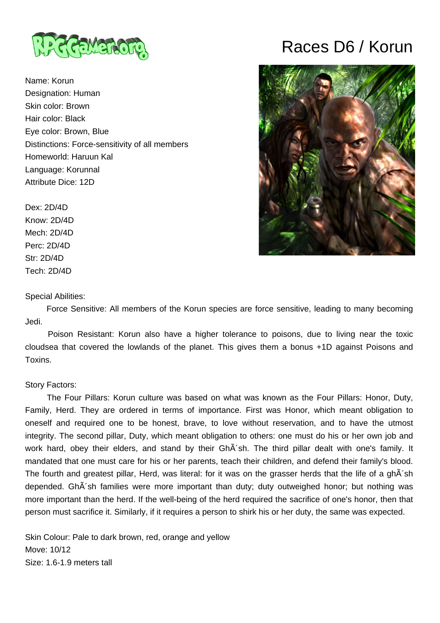

Name: Korun Designation: Human Skin color: Brown Hair color: Black Eye color: Brown, Blue Distinctions: Force-sensitivity of all members Homeworld: Haruun Kal Language: Korunnal Attribute Dice: 12D

Dex: 2D/4D Know: 2D/4D Mech: 2D/4D Perc: 2D/4D Str: 2D/4D Tech: 2D/4D

## Special Abilities:

Races D6 / Korun



 Force Sensitive: All members of the Korun species are force sensitive, leading to many becoming Jedi.

 Poison Resistant: Korun also have a higher tolerance to poisons, due to living near the toxic cloudsea that covered the lowlands of the planet. This gives them a bonus +1D against Poisons and Toxins.

## Story Factors:

 The Four Pillars: Korun culture was based on what was known as the Four Pillars: Honor, Duty, Family, Herd. They are ordered in terms of importance. First was Honor, which meant obligation to oneself and required one to be honest, brave, to love without reservation, and to have the utmost integrity. The second pillar, Duty, which meant obligation to others: one must do his or her own job and work hard, obey their elders, and stand by their GhÂ'sh. The third pillar dealt with one's family. It mandated that one must care for his or her parents, teach their children, and defend their family's blood. The fourth and greatest pillar, Herd, was literal: for it was on the grasser herds that the life of a ghÂ'sh depended. GhÂ'sh families were more important than duty; duty outweighed honor; but nothing was more important than the herd. If the well-being of the herd required the sacrifice of one's honor, then that person must sacrifice it. Similarly, if it requires a person to shirk his or her duty, the same was expected.

Skin Colour: Pale to dark brown, red, orange and yellow Move: 10/12 Size: 1.6-1.9 meters tall